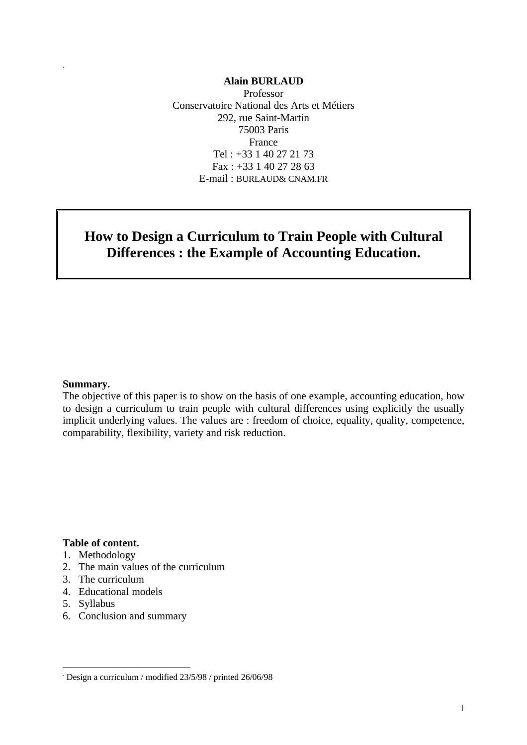#### **Alain BURLAUD**

Professor Conservatoire National des Arts et Métiers 292, rue Saint-Martin 75003 Paris France Tel : +33 1 40 27 21 73 Fax : +33 1 40 27 28 63 E-mail : BURLAUD& CNAM.FR

# **How to Design a Curriculum to Train People with Cultural Differences : the Example of Accounting Education.**

#### **Summary.**

.

The objective of this paper is to show on the basis of one example, accounting education, how to design a curriculum to train people with cultural differences using explicitly the usually implicit underlying values. The values are : freedom of choice, equality, quality, competence, comparability, flexibility, variety and risk reduction.

#### **Table of content.**

- 1. Methodology
- 2. The main values of the curriculum
- 3. The curriculum
- 4. Educational models
- 5. Syllabus

-

6. Conclusion and summary

<sup>.</sup> Design a curriculum / modified 23/5/98 / printed 26/06/98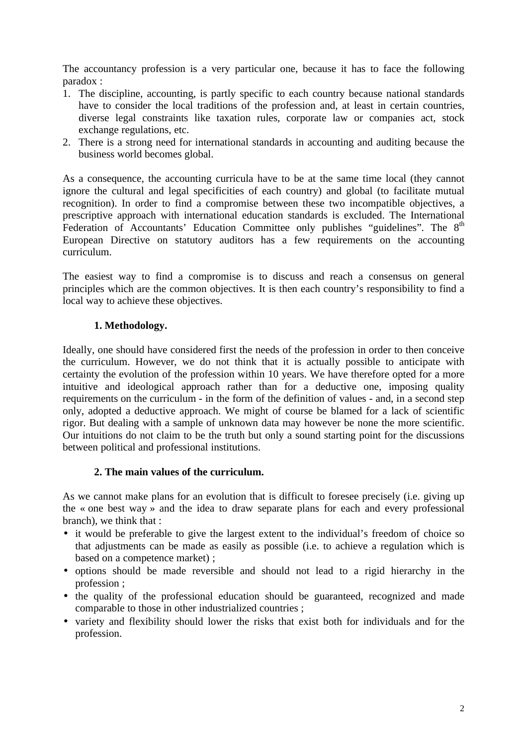The accountancy profession is a very particular one, because it has to face the following paradox :

- 1. The discipline, accounting, is partly specific to each country because national standards have to consider the local traditions of the profession and, at least in certain countries, diverse legal constraints like taxation rules, corporate law or companies act, stock exchange regulations, etc.
- 2. There is a strong need for international standards in accounting and auditing because the business world becomes global.

As a consequence, the accounting curricula have to be at the same time local (they cannot ignore the cultural and legal specificities of each country) and global (to facilitate mutual recognition). In order to find a compromise between these two incompatible objectives, a prescriptive approach with international education standards is excluded. The International Federation of Accountants' Education Committee only publishes "guidelines". The 8<sup>th</sup> European Directive on statutory auditors has a few requirements on the accounting curriculum.

The easiest way to find a compromise is to discuss and reach a consensus on general principles which are the common objectives. It is then each country's responsibility to find a local way to achieve these objectives.

## **1. Methodology.**

Ideally, one should have considered first the needs of the profession in order to then conceive the curriculum. However, we do not think that it is actually possible to anticipate with certainty the evolution of the profession within 10 years. We have therefore opted for a more intuitive and ideological approach rather than for a deductive one, imposing quality requirements on the curriculum - in the form of the definition of values - and, in a second step only, adopted a deductive approach. We might of course be blamed for a lack of scientific rigor. But dealing with a sample of unknown data may however be none the more scientific. Our intuitions do not claim to be the truth but only a sound starting point for the discussions between political and professional institutions.

## **2. The main values of the curriculum.**

As we cannot make plans for an evolution that is difficult to foresee precisely (i.e. giving up the « one best way » and the idea to draw separate plans for each and every professional branch), we think that :

- it would be preferable to give the largest extent to the individual's freedom of choice so that adjustments can be made as easily as possible (i.e. to achieve a regulation which is based on a competence market) ;
- options should be made reversible and should not lead to a rigid hierarchy in the profession ;
- the quality of the professional education should be guaranteed, recognized and made comparable to those in other industrialized countries ;
- variety and flexibility should lower the risks that exist both for individuals and for the profession.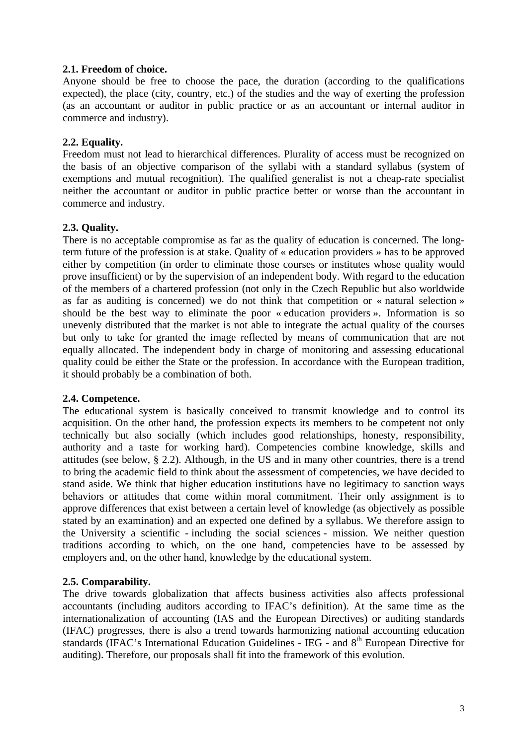### **2.1. Freedom of choice.**

Anyone should be free to choose the pace, the duration (according to the qualifications expected), the place (city, country, etc.) of the studies and the way of exerting the profession (as an accountant or auditor in public practice or as an accountant or internal auditor in commerce and industry).

## **2.2. Equality.**

Freedom must not lead to hierarchical differences. Plurality of access must be recognized on the basis of an objective comparison of the syllabi with a standard syllabus (system of exemptions and mutual recognition). The qualified generalist is not a cheap-rate specialist neither the accountant or auditor in public practice better or worse than the accountant in commerce and industry.

## **2.3. Quality.**

There is no acceptable compromise as far as the quality of education is concerned. The longterm future of the profession is at stake. Quality of « education providers » has to be approved either by competition (in order to eliminate those courses or institutes whose quality would prove insufficient) or by the supervision of an independent body. With regard to the education of the members of a chartered profession (not only in the Czech Republic but also worldwide as far as auditing is concerned) we do not think that competition or « natural selection » should be the best way to eliminate the poor « education providers ». Information is so unevenly distributed that the market is not able to integrate the actual quality of the courses but only to take for granted the image reflected by means of communication that are not equally allocated. The independent body in charge of monitoring and assessing educational quality could be either the State or the profession. In accordance with the European tradition, it should probably be a combination of both.

#### **2.4. Competence.**

The educational system is basically conceived to transmit knowledge and to control its acquisition. On the other hand, the profession expects its members to be competent not only technically but also socially (which includes good relationships, honesty, responsibility, authority and a taste for working hard). Competencies combine knowledge, skills and attitudes (see below, § 2.2). Although, in the US and in many other countries, there is a trend to bring the academic field to think about the assessment of competencies, we have decided to stand aside. We think that higher education institutions have no legitimacy to sanction ways behaviors or attitudes that come within moral commitment. Their only assignment is to approve differences that exist between a certain level of knowledge (as objectively as possible stated by an examination) and an expected one defined by a syllabus. We therefore assign to the University a scientific - including the social sciences - mission. We neither question traditions according to which, on the one hand, competencies have to be assessed by employers and, on the other hand, knowledge by the educational system.

## **2.5. Comparability.**

The drive towards globalization that affects business activities also affects professional accountants (including auditors according to IFAC's definition). At the same time as the internationalization of accounting (IAS and the European Directives) or auditing standards (IFAC) progresses, there is also a trend towards harmonizing national accounting education standards (IFAC's International Education Guidelines - IEG - and 8<sup>th</sup> European Directive for auditing). Therefore, our proposals shall fit into the framework of this evolution.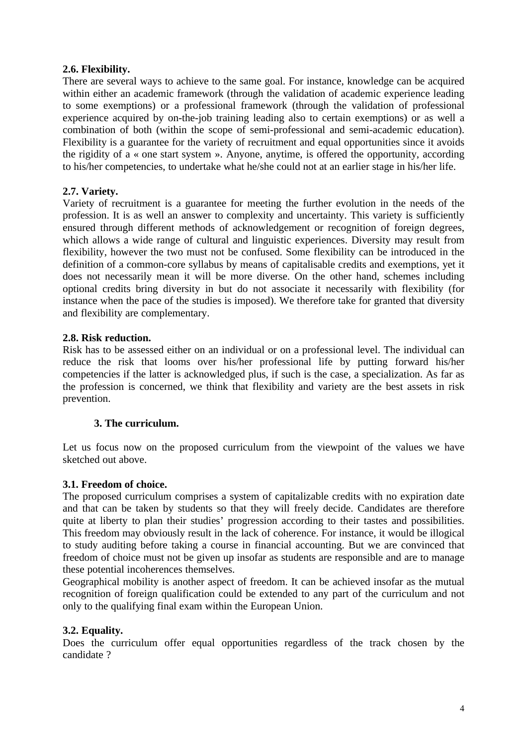## **2.6. Flexibility.**

There are several ways to achieve to the same goal. For instance, knowledge can be acquired within either an academic framework (through the validation of academic experience leading to some exemptions) or a professional framework (through the validation of professional experience acquired by on-the-job training leading also to certain exemptions) or as well a combination of both (within the scope of semi-professional and semi-academic education). Flexibility is a guarantee for the variety of recruitment and equal opportunities since it avoids the rigidity of a « one start system ». Anyone, anytime, is offered the opportunity, according to his/her competencies, to undertake what he/she could not at an earlier stage in his/her life.

## **2.7. Variety.**

Variety of recruitment is a guarantee for meeting the further evolution in the needs of the profession. It is as well an answer to complexity and uncertainty. This variety is sufficiently ensured through different methods of acknowledgement or recognition of foreign degrees, which allows a wide range of cultural and linguistic experiences. Diversity may result from flexibility, however the two must not be confused. Some flexibility can be introduced in the definition of a common-core syllabus by means of capitalisable credits and exemptions, yet it does not necessarily mean it will be more diverse. On the other hand, schemes including optional credits bring diversity in but do not associate it necessarily with flexibility (for instance when the pace of the studies is imposed). We therefore take for granted that diversity and flexibility are complementary.

## **2.8. Risk reduction.**

Risk has to be assessed either on an individual or on a professional level. The individual can reduce the risk that looms over his/her professional life by putting forward his/her competencies if the latter is acknowledged plus, if such is the case, a specialization. As far as the profession is concerned, we think that flexibility and variety are the best assets in risk prevention.

## **3. The curriculum.**

Let us focus now on the proposed curriculum from the viewpoint of the values we have sketched out above.

#### **3.1. Freedom of choice.**

The proposed curriculum comprises a system of capitalizable credits with no expiration date and that can be taken by students so that they will freely decide. Candidates are therefore quite at liberty to plan their studies' progression according to their tastes and possibilities. This freedom may obviously result in the lack of coherence. For instance, it would be illogical to study auditing before taking a course in financial accounting. But we are convinced that freedom of choice must not be given up insofar as students are responsible and are to manage these potential incoherences themselves.

Geographical mobility is another aspect of freedom. It can be achieved insofar as the mutual recognition of foreign qualification could be extended to any part of the curriculum and not only to the qualifying final exam within the European Union.

#### **3.2. Equality.**

Does the curriculum offer equal opportunities regardless of the track chosen by the candidate ?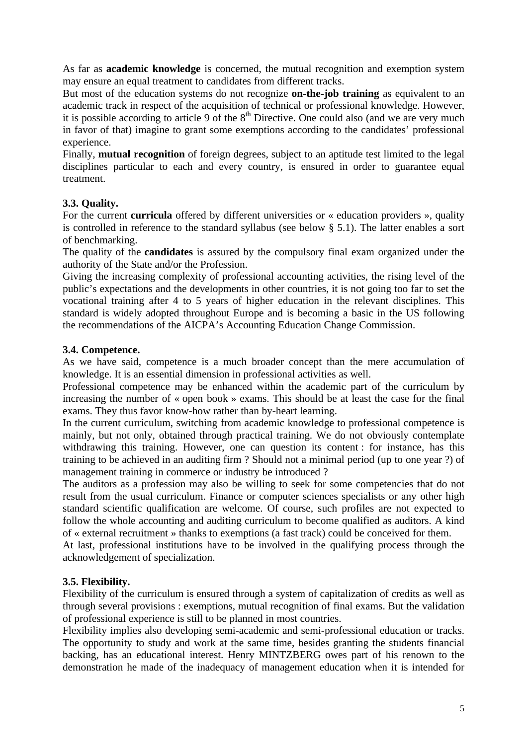As far as **academic knowledge** is concerned, the mutual recognition and exemption system may ensure an equal treatment to candidates from different tracks.

But most of the education systems do not recognize **on-the-job training** as equivalent to an academic track in respect of the acquisition of technical or professional knowledge. However, it is possible according to article 9 of the  $8<sup>th</sup>$  Directive. One could also (and we are very much in favor of that) imagine to grant some exemptions according to the candidates' professional experience.

Finally, **mutual recognition** of foreign degrees, subject to an aptitude test limited to the legal disciplines particular to each and every country, is ensured in order to guarantee equal treatment.

## **3.3. Quality.**

For the current **curricula** offered by different universities or « education providers », quality is controlled in reference to the standard syllabus (see below § 5.1). The latter enables a sort of benchmarking.

The quality of the **candidates** is assured by the compulsory final exam organized under the authority of the State and/or the Profession.

Giving the increasing complexity of professional accounting activities, the rising level of the public's expectations and the developments in other countries, it is not going too far to set the vocational training after 4 to 5 years of higher education in the relevant disciplines. This standard is widely adopted throughout Europe and is becoming a basic in the US following the recommendations of the AICPA's Accounting Education Change Commission.

## **3.4. Competence.**

As we have said, competence is a much broader concept than the mere accumulation of knowledge. It is an essential dimension in professional activities as well.

Professional competence may be enhanced within the academic part of the curriculum by increasing the number of « open book » exams. This should be at least the case for the final exams. They thus favor know-how rather than by-heart learning.

In the current curriculum, switching from academic knowledge to professional competence is mainly, but not only, obtained through practical training. We do not obviously contemplate withdrawing this training. However, one can question its content : for instance, has this training to be achieved in an auditing firm ? Should not a minimal period (up to one year ?) of management training in commerce or industry be introduced ?

The auditors as a profession may also be willing to seek for some competencies that do not result from the usual curriculum. Finance or computer sciences specialists or any other high standard scientific qualification are welcome. Of course, such profiles are not expected to follow the whole accounting and auditing curriculum to become qualified as auditors. A kind of « external recruitment » thanks to exemptions (a fast track) could be conceived for them.

At last, professional institutions have to be involved in the qualifying process through the acknowledgement of specialization.

# **3.5. Flexibility.**

Flexibility of the curriculum is ensured through a system of capitalization of credits as well as through several provisions : exemptions, mutual recognition of final exams. But the validation of professional experience is still to be planned in most countries.

Flexibility implies also developing semi-academic and semi-professional education or tracks. The opportunity to study and work at the same time, besides granting the students financial backing, has an educational interest. Henry MINTZBERG owes part of his renown to the demonstration he made of the inadequacy of management education when it is intended for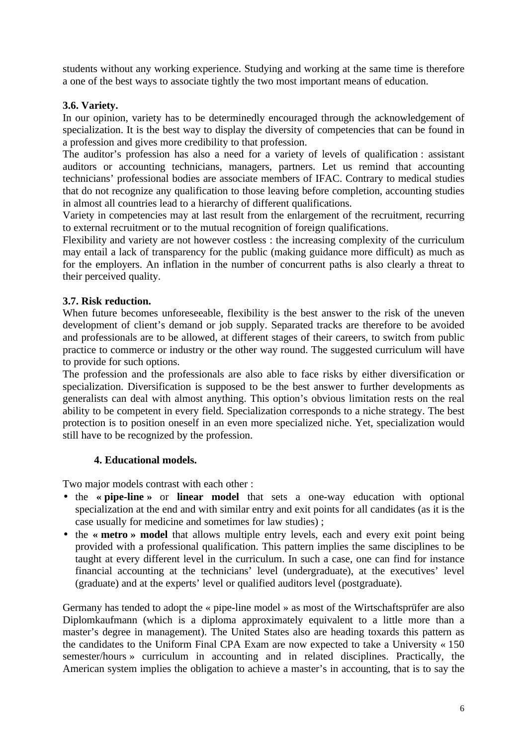students without any working experience. Studying and working at the same time is therefore a one of the best ways to associate tightly the two most important means of education.

## **3.6. Variety.**

In our opinion, variety has to be determinedly encouraged through the acknowledgement of specialization. It is the best way to display the diversity of competencies that can be found in a profession and gives more credibility to that profession.

The auditor's profession has also a need for a variety of levels of qualification : assistant auditors or accounting technicians, managers, partners. Let us remind that accounting technicians' professional bodies are associate members of IFAC. Contrary to medical studies that do not recognize any qualification to those leaving before completion, accounting studies in almost all countries lead to a hierarchy of different qualifications.

Variety in competencies may at last result from the enlargement of the recruitment, recurring to external recruitment or to the mutual recognition of foreign qualifications.

Flexibility and variety are not however costless : the increasing complexity of the curriculum may entail a lack of transparency for the public (making guidance more difficult) as much as for the employers. An inflation in the number of concurrent paths is also clearly a threat to their perceived quality.

## **3.7. Risk reduction.**

When future becomes unforeseeable, flexibility is the best answer to the risk of the uneven development of client's demand or job supply. Separated tracks are therefore to be avoided and professionals are to be allowed, at different stages of their careers, to switch from public practice to commerce or industry or the other way round. The suggested curriculum will have to provide for such options.

The profession and the professionals are also able to face risks by either diversification or specialization. Diversification is supposed to be the best answer to further developments as generalists can deal with almost anything. This option's obvious limitation rests on the real ability to be competent in every field. Specialization corresponds to a niche strategy. The best protection is to position oneself in an even more specialized niche. Yet, specialization would still have to be recognized by the profession.

## **4. Educational models.**

Two major models contrast with each other :

- the **« pipe-line »** or **linear model** that sets a one-way education with optional specialization at the end and with similar entry and exit points for all candidates (as it is the case usually for medicine and sometimes for law studies) ;
- the **« metro » model** that allows multiple entry levels, each and every exit point being provided with a professional qualification. This pattern implies the same disciplines to be taught at every different level in the curriculum. In such a case, one can find for instance financial accounting at the technicians' level (undergraduate), at the executives' level (graduate) and at the experts' level or qualified auditors level (postgraduate).

Germany has tended to adopt the « pipe-line model » as most of the Wirtschaftsprüfer are also Diplomkaufmann (which is a diploma approximately equivalent to a little more than a master's degree in management). The United States also are heading toxards this pattern as the candidates to the Uniform Final CPA Exam are now expected to take a University « 150 semester/hours » curriculum in accounting and in related disciplines. Practically, the American system implies the obligation to achieve a master's in accounting, that is to say the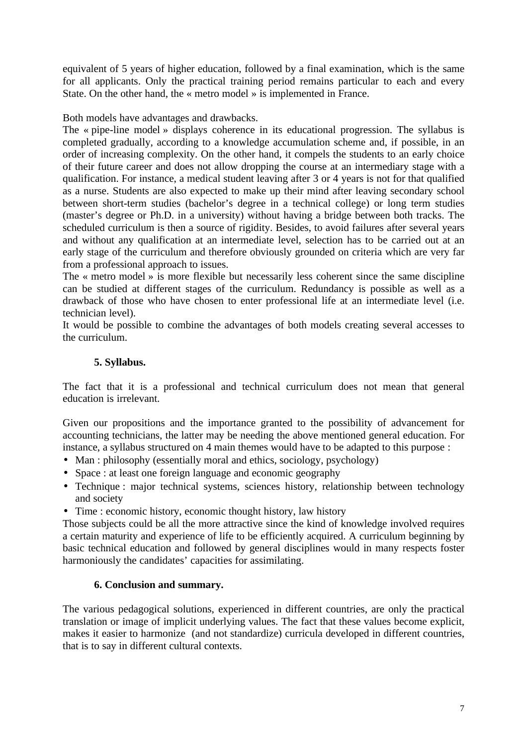equivalent of 5 years of higher education, followed by a final examination, which is the same for all applicants. Only the practical training period remains particular to each and every State. On the other hand, the « metro model » is implemented in France.

Both models have advantages and drawbacks.

The « pipe-line model » displays coherence in its educational progression. The syllabus is completed gradually, according to a knowledge accumulation scheme and, if possible, in an order of increasing complexity. On the other hand, it compels the students to an early choice of their future career and does not allow dropping the course at an intermediary stage with a qualification. For instance, a medical student leaving after 3 or 4 years is not for that qualified as a nurse. Students are also expected to make up their mind after leaving secondary school between short-term studies (bachelor's degree in a technical college) or long term studies (master's degree or Ph.D. in a university) without having a bridge between both tracks. The scheduled curriculum is then a source of rigidity. Besides, to avoid failures after several years and without any qualification at an intermediate level, selection has to be carried out at an early stage of the curriculum and therefore obviously grounded on criteria which are very far from a professional approach to issues.

The « metro model » is more flexible but necessarily less coherent since the same discipline can be studied at different stages of the curriculum. Redundancy is possible as well as a drawback of those who have chosen to enter professional life at an intermediate level (i.e. technician level).

It would be possible to combine the advantages of both models creating several accesses to the curriculum.

# **5. Syllabus.**

The fact that it is a professional and technical curriculum does not mean that general education is irrelevant.

Given our propositions and the importance granted to the possibility of advancement for accounting technicians, the latter may be needing the above mentioned general education. For instance, a syllabus structured on 4 main themes would have to be adapted to this purpose :

- Man : philosophy (essentially moral and ethics, sociology, psychology)
- Space : at least one foreign language and economic geography
- Technique : major technical systems, sciences history, relationship between technology and society
- Time : economic history, economic thought history, law history

Those subjects could be all the more attractive since the kind of knowledge involved requires a certain maturity and experience of life to be efficiently acquired. A curriculum beginning by basic technical education and followed by general disciplines would in many respects foster harmoniously the candidates' capacities for assimilating.

## **6. Conclusion and summary.**

The various pedagogical solutions, experienced in different countries, are only the practical translation or image of implicit underlying values. The fact that these values become explicit, makes it easier to harmonize (and not standardize) curricula developed in different countries, that is to say in different cultural contexts.